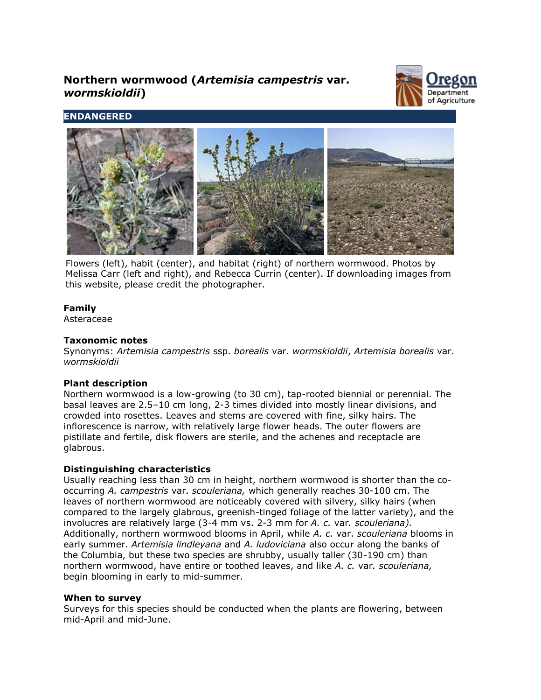# **Northern wormwood (***Artemisia campestris* **var.** *wormskioldii***)**



# **ENDANGERED**



Flowers (left), habit (center), and habitat (right) of northern wormwood. Photos by Melissa Carr (left and right), and Rebecca Currin (center). If downloading images from this website, please credit the photographer.

## **Family**

Asteraceae

# **Taxonomic notes**

Synonyms: *Artemisia campestris* ssp. *borealis* var. *wormskioldii*, *Artemisia borealis* var. *wormskioldii*

## **Plant description**

Northern wormwood is a low-growing (to 30 cm), tap-rooted biennial or perennial. The basal leaves are 2.5–10 cm long, 2-3 times divided into mostly linear divisions, and crowded into rosettes. Leaves and stems are covered with fine, silky hairs. The inflorescence is narrow, with relatively large flower heads. The outer flowers are pistillate and fertile, disk flowers are sterile, and the achenes and receptacle are glabrous.

## **Distinguishing characteristics**

Usually reaching less than 30 cm in height, northern wormwood is shorter than the cooccurring *A. campestris* var. *scouleriana,* which generally reaches 30-100 cm. The leaves of northern wormwood are noticeably covered with silvery, silky hairs (when compared to the largely glabrous, greenish-tinged foliage of the latter variety), and the involucres are relatively large (3-4 mm vs. 2-3 mm for *A. c.* var*. scouleriana).* Additionally, northern wormwood blooms in April, while *A. c.* var. *scouleriana* blooms in early summer. *Artemisia lindleyana* and *A. ludoviciana* also occur along the banks of the Columbia, but these two species are shrubby, usually taller (30-190 cm) than northern wormwood, have entire or toothed leaves, and like *A. c.* var*. scouleriana,* begin blooming in early to mid-summer.

#### **When to survey**

Surveys for this species should be conducted when the plants are flowering, between mid-April and mid-June.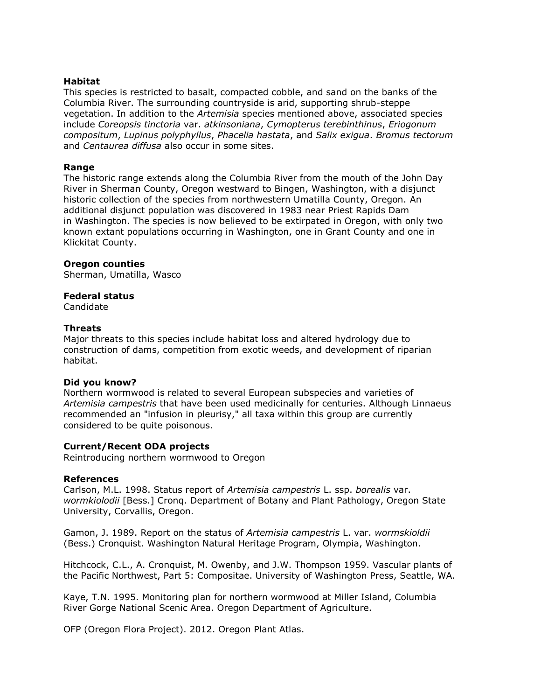#### **Habitat**

This species is restricted to basalt, compacted cobble, and sand on the banks of the Columbia River. The surrounding countryside is arid, supporting shrub-steppe vegetation. In addition to the *Artemisia* species mentioned above, associated species include *Coreopsis tinctoria* var. *atkinsoniana*, *Cymopterus terebinthinus*, *Eriogonum compositum*, *Lupinus polyphyllus*, *Phacelia hastata*, and *Salix exigua*. *Bromus tectorum* and *Centaurea diffusa* also occur in some sites.

## **Range**

The historic range extends along the Columbia River from the mouth of the John Day River in Sherman County, Oregon westward to Bingen, Washington, with a disjunct historic collection of the species from northwestern Umatilla County, Oregon. An additional disjunct population was discovered in 1983 near Priest Rapids Dam in Washington. The species is now believed to be extirpated in Oregon, with only two known extant populations occurring in Washington, one in Grant County and one in Klickitat County.

## **Oregon counties**

Sherman, Umatilla, Wasco

## **Federal status**

Candidate

## **Threats**

Major threats to this species include habitat loss and altered hydrology due to construction of dams, competition from exotic weeds, and development of riparian habitat.

#### **Did you know?**

Northern wormwood is related to several European subspecies and varieties of *Artemisia campestris* that have been used medicinally for centuries. Although Linnaeus recommended an "infusion in pleurisy," all taxa within this group are currently considered to be quite poisonous.

## **Current/Recent ODA projects**

Reintroducing northern wormwood to Oregon

#### **References**

Carlson, M.L. 1998. Status report of *Artemisia campestris* L. ssp. *borealis* var. *wormkiolodii* [Bess.] Cronq. Department of Botany and Plant Pathology, Oregon State University, Corvallis, Oregon.

Gamon, J. 1989. Report on the status of *Artemisia campestris* L. var. *wormskioldii* (Bess.) Cronquist. Washington Natural Heritage Program, Olympia, Washington.

Hitchcock, C.L., A. Cronquist, M. Owenby, and J.W. Thompson 1959. Vascular plants of the Pacific Northwest, Part 5: Compositae. University of Washington Press, Seattle, WA.

Kaye, T.N. 1995. Monitoring plan for northern wormwood at Miller Island, Columbia River Gorge National Scenic Area. Oregon Department of Agriculture.

OFP (Oregon Flora Project). 2012. Oregon Plant Atlas.